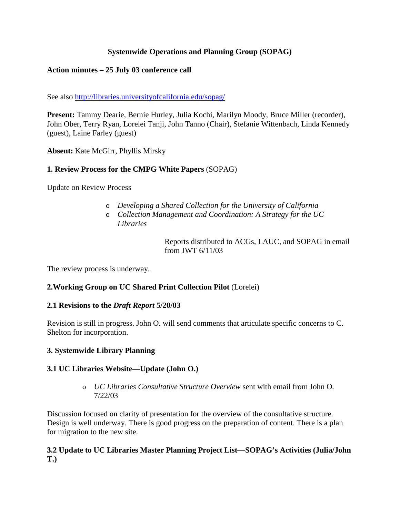## **Systemwide Operations and Planning Group (SOPAG)**

## **Action minutes – 25 July 03 conference call**

See also http://libraries.universityofcalifornia.edu/sopag/

**Present:** Tammy Dearie, Bernie Hurley, Julia Kochi, Marilyn Moody, Bruce Miller (recorder), John Ober, Terry Ryan, Lorelei Tanji, John Tanno (Chair), Stefanie Wittenbach, Linda Kennedy (guest), Laine Farley (guest)

**Absent:** Kate McGirr, Phyllis Mirsky

## **1. Review Process for the CMPG White Papers** (SOPAG)

Update on Review Process

- o *Developing a Shared Collection for the University of California*
- o *Collection Management and Coordination: A Strategy for the UC Libraries*

Reports distributed to ACGs, LAUC, and SOPAG in email from JWT 6/11/03

The review process is underway.

## **2.Working Group on UC Shared Print Collection Pilot** (Lorelei)

## **2.1 Revisions to the** *Draft Report* **5/20/03**

Revision is still in progress. John O. will send comments that articulate specific concerns to C. Shelton for incorporation.

## **3. Systemwide Library Planning**

## **3.1 UC Libraries Website—Update (John O.)**

o *UC Libraries Consultative Structure Overview* sent with email from John O. 7/22/03

Discussion focused on clarity of presentation for the overview of the consultative structure. Design is well underway. There is good progress on the preparation of content. There is a plan for migration to the new site.

#### **3.2 Update to UC Libraries Master Planning Project List—SOPAG's Activities (Julia/John T.)**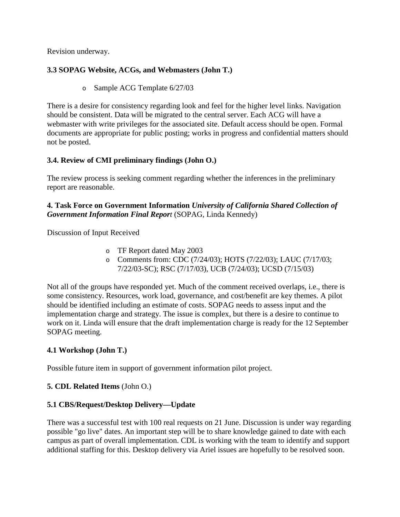Revision underway.

## **3.3 SOPAG Website, ACGs, and Webmasters (John T.)**

o Sample ACG Template 6/27/03

There is a desire for consistency regarding look and feel for the higher level links. Navigation should be consistent. Data will be migrated to the central server. Each ACG will have a webmaster with write privileges for the associated site. Default access should be open. Formal documents are appropriate for public posting; works in progress and confidential matters should not be posted.

# **3.4. Review of CMI preliminary findings (John O.)**

The review process is seeking comment regarding whether the inferences in the preliminary report are reasonable.

### **4. Task Force on Government Information** *University of California Shared Collection of Government Information Final Report* (SOPAG, Linda Kennedy)

Discussion of Input Received

- o TF Report dated May 2003
- o Comments from: CDC (7/24/03); HOTS (7/22/03); LAUC (7/17/03; 7/22/03-SC); RSC (7/17/03), UCB (7/24/03); UCSD (7/15/03)

Not all of the groups have responded yet. Much of the comment received overlaps, i.e., there is some consistency. Resources, work load, governance, and cost/benefit are key themes. A pilot should be identified including an estimate of costs. SOPAG needs to assess input and the implementation charge and strategy. The issue is complex, but there is a desire to continue to work on it. Linda will ensure that the draft implementation charge is ready for the 12 September SOPAG meeting.

# **4.1 Workshop (John T.)**

Possible future item in support of government information pilot project.

# **5. CDL Related Items** (John O.)

# **5.1 CBS/Request/Desktop Delivery—Update**

There was a successful test with 100 real requests on 21 June. Discussion is under way regarding possible "go live" dates. An important step will be to share knowledge gained to date with each campus as part of overall implementation. CDL is working with the team to identify and support additional staffing for this. Desktop delivery via Ariel issues are hopefully to be resolved soon.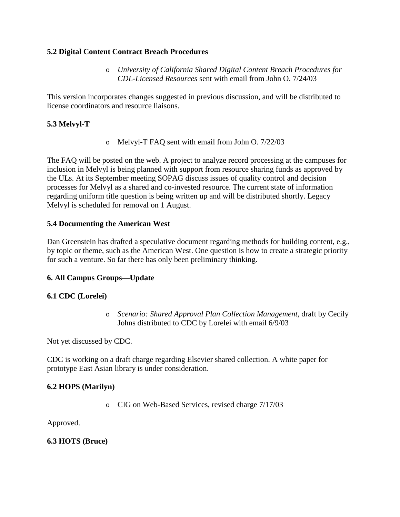#### **5.2 Digital Content Contract Breach Procedures**

o *University of California Shared Digital Content Breach Procedures for CDL-Licensed Resources* sent with email from John O. 7/24/03

This version incorporates changes suggested in previous discussion, and will be distributed to license coordinators and resource liaisons.

## **5.3 Melvyl-T**

o Melvyl-T FAQ sent with email from John O. 7/22/03

The FAQ will be posted on the web. A project to analyze record processing at the campuses for inclusion in Melvyl is being planned with support from resource sharing funds as approved by the ULs. At its September meeting SOPAG discuss issues of quality control and decision processes for Melvyl as a shared and co-invested resource. The current state of information regarding uniform title question is being written up and will be distributed shortly. Legacy Melvyl is scheduled for removal on 1 August.

#### **5.4 Documenting the American West**

Dan Greenstein has drafted a speculative document regarding methods for building content, e.g., by topic or theme, such as the American West. One question is how to create a strategic priority for such a venture. So far there has only been preliminary thinking.

## **6. All Campus Groups—Update**

## **6.1 CDC (Lorelei)**

o *Scenario: Shared Approval Plan Collection Management*, draft by Cecily Johns distributed to CDC by Lorelei with email 6/9/03

Not yet discussed by CDC.

CDC is working on a draft charge regarding Elsevier shared collection. A white paper for prototype East Asian library is under consideration.

## **6.2 HOPS (Marilyn)**

o CIG on Web-Based Services, revised charge 7/17/03

Approved.

## **6.3 HOTS (Bruce)**